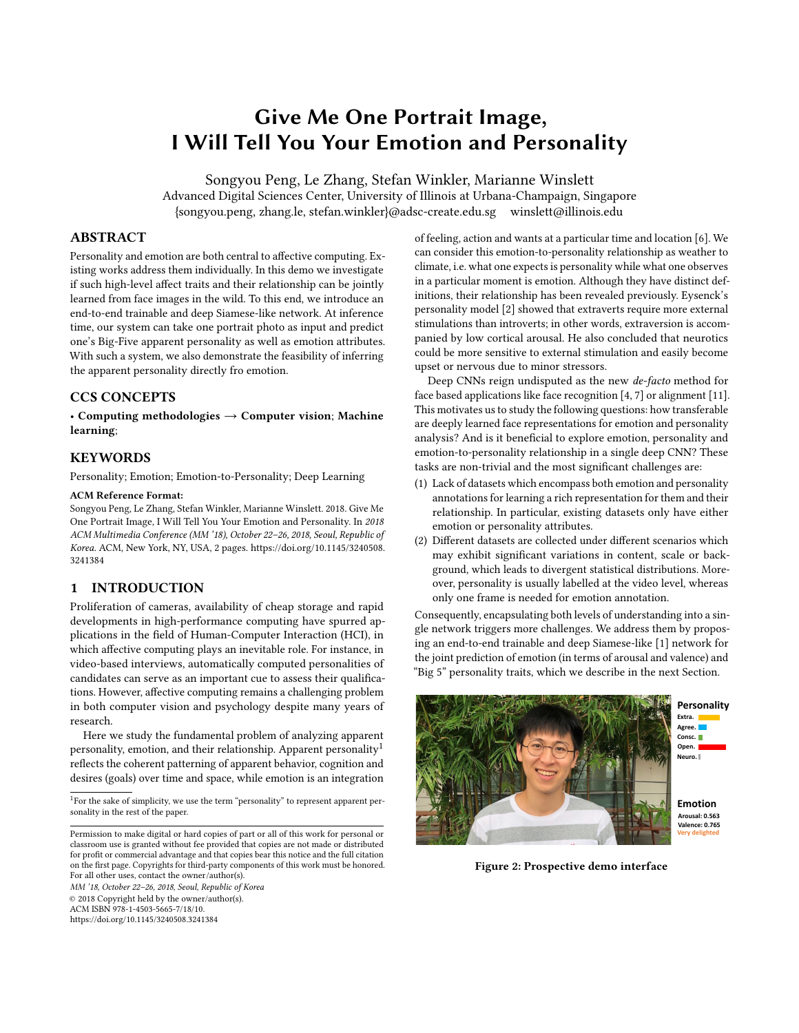# Give Me One Portrait Image, I Will Tell You Your Emotion and Personality

Songyou Peng, Le Zhang, Stefan Winkler, Marianne Winslett Advanced Digital Sciences Center, University of Illinois at Urbana-Champaign, Singapore {songyou.peng, zhang.le, stefan.winkler}@adsc-create.edu.sg winslett@illinois.edu

## ABSTRACT

Personality and emotion are both central to affective computing. Existing works address them individually. In this demo we investigate if such high-level affect traits and their relationship can be jointly learned from face images in the wild. To this end, we introduce an end-to-end trainable and deep Siamese-like network. At inference time, our system can take one portrait photo as input and predict one's Big-Five apparent personality as well as emotion attributes. With such a system, we also demonstrate the feasibility of inferring the apparent personality directly fro emotion.

## CCS CONCEPTS

• Computing methodologies  $\rightarrow$  Computer vision; Machine learning;

#### **KEYWORDS**

Personality; Emotion; Emotion-to-Personality; Deep Learning

#### ACM Reference Format:

Songyou Peng, Le Zhang, Stefan Winkler, Marianne Winslett. 2018. Give Me One Portrait Image, I Will Tell You Your Emotion and Personality. In 2018 ACM Multimedia Conference (MM '18), October 22–26, 2018, Seoul, Republic of Korea. ACM, New York, NY, USA, [2](#page-1-0) pages. [https://doi.org/10.1145/3240508.](https://doi.org/10.1145/3240508.3241384) [3241384](https://doi.org/10.1145/3240508.3241384)

#### 1 INTRODUCTION

Proliferation of cameras, availability of cheap storage and rapid developments in high-performance computing have spurred applications in the field of Human-Computer Interaction (HCI), in which affective computing plays an inevitable role. For instance, in video-based interviews, automatically computed personalities of candidates can serve as an important cue to assess their qualifications. However, affective computing remains a challenging problem in both computer vision and psychology despite many years of research.

Here we study the fundamental problem of analyzing apparent personality, emotion, and their relationship. Apparent personality<sup>[1](#page-0-0)</sup> reflects the coherent patterning of apparent behavior, cognition and desires (goals) over time and space, while emotion is an integration

<span id="page-0-0"></span><sup>1</sup>For the sake of simplicity, we use the term "personality" to represent apparent personality in the rest of the paper.

Permission to make digital or hard copies of part or all of this work for personal or classroom use is granted without fee provided that copies are not made or distributed for profit or commercial advantage and that copies bear this notice and the full citation on the first page. Copyrights for third-party components of this work must be honored. For all other uses, contact the owner/author(s).

MM '18, October 22–26, 2018, Seoul, Republic of Korea © 2018 Copyright held by the owner/author(s). ACM ISBN 978-1-4503-5665-7/18/10.

<https://doi.org/10.1145/3240508.3241384>

of feeling, action and wants at a particular time and location [\[6\]](#page-1-1). We can consider this emotion-to-personality relationship as weather to climate, i.e. what one expects is personality while what one observes in a particular moment is emotion. Although they have distinct definitions, their relationship has been revealed previously. Eysenck's personality model [\[2\]](#page-1-2) showed that extraverts require more external stimulations than introverts; in other words, extraversion is accompanied by low cortical arousal. He also concluded that neurotics could be more sensitive to external stimulation and easily become upset or nervous due to minor stressors.

Deep CNNs reign undisputed as the new de-facto method for face based applications like face recognition [\[4,](#page-1-3) [7\]](#page-1-4) or alignment [\[11\]](#page-1-5). This motivates us to study the following questions: how transferable are deeply learned face representations for emotion and personality analysis? And is it beneficial to explore emotion, personality and emotion-to-personality relationship in a single deep CNN? These tasks are non-trivial and the most significant challenges are:

- (1) Lack of datasets which encompass both emotion and personality annotations for learning a rich representation for them and their relationship. In particular, existing datasets only have either emotion or personality attributes.
- (2) Different datasets are collected under different scenarios which may exhibit significant variations in content, scale or background, which leads to divergent statistical distributions. Moreover, personality is usually labelled at the video level, whereas only one frame is needed for emotion annotation.

Consequently, encapsulating both levels of understanding into a single network triggers more challenges. We address them by proposing an end-to-end trainable and deep Siamese-like [\[1\]](#page-1-6) network for the joint prediction of emotion (in terms of arousal and valence) and "Big 5" personality traits, which we describe in the next Section.



Figure 2: Prospective demo interface